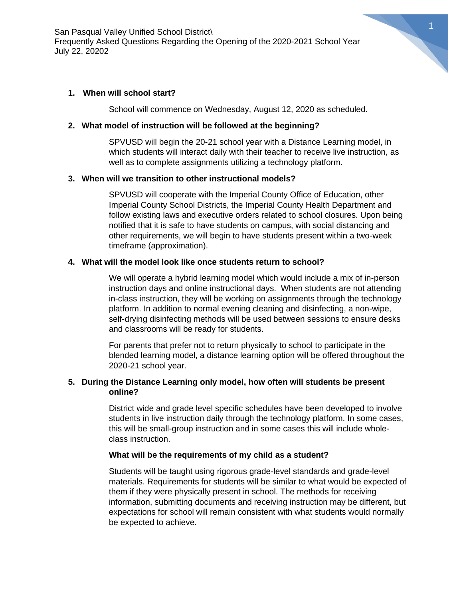San Pasqual Valley Unified School District\ Frequently Asked Questions Regarding the Opening of the 2020-2021 School Year July 22, 20202

## **1. When will school start?**

School will commence on Wednesday, August 12, 2020 as scheduled.

#### **2. What model of instruction will be followed at the beginning?**

SPVUSD will begin the 20-21 school year with a Distance Learning model, in which students will interact daily with their teacher to receive live instruction, as well as to complete assignments utilizing a technology platform.

### **3. When will we transition to other instructional models?**

SPVUSD will cooperate with the Imperial County Office of Education, other Imperial County School Districts, the Imperial County Health Department and follow existing laws and executive orders related to school closures. Upon being notified that it is safe to have students on campus, with social distancing and other requirements, we will begin to have students present within a two-week timeframe (approximation).

#### **4. What will the model look like once students return to school?**

We will operate a hybrid learning model which would include a mix of in-person instruction days and online instructional days. When students are not attending in-class instruction, they will be working on assignments through the technology platform. In addition to normal evening cleaning and disinfecting, a non-wipe, self-drying disinfecting methods will be used between sessions to ensure desks and classrooms will be ready for students.

For parents that prefer not to return physically to school to participate in the blended learning model, a distance learning option will be offered throughout the 2020-21 school year.

# **5. During the Distance Learning only model, how often will students be present online?**

District wide and grade level specific schedules have been developed to involve students in live instruction daily through the technology platform. In some cases, this will be small-group instruction and in some cases this will include wholeclass instruction.

#### **What will be the requirements of my child as a student?**

Students will be taught using rigorous grade-level standards and grade-level materials. Requirements for students will be similar to what would be expected of them if they were physically present in school. The methods for receiving information, submitting documents and receiving instruction may be different, but expectations for school will remain consistent with what students would normally be expected to achieve.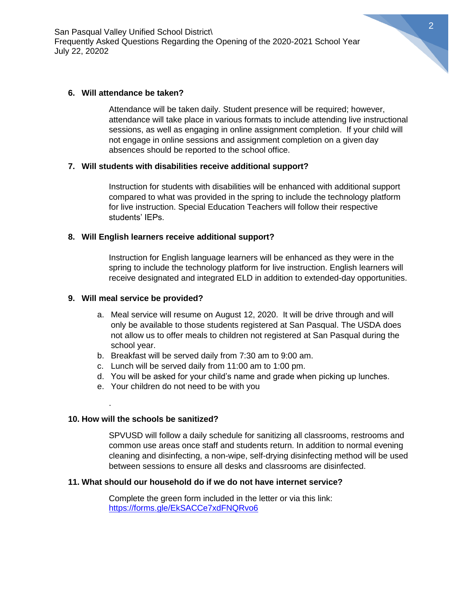San Pasqual Valley Unified School District\ Frequently Asked Questions Regarding the Opening of the 2020-2021 School Year July 22, 20202

## **6. Will attendance be taken?**

Attendance will be taken daily. Student presence will be required; however, attendance will take place in various formats to include attending live instructional sessions, as well as engaging in online assignment completion. If your child will not engage in online sessions and assignment completion on a given day absences should be reported to the school office.

### **7. Will students with disabilities receive additional support?**

Instruction for students with disabilities will be enhanced with additional support compared to what was provided in the spring to include the technology platform for live instruction. Special Education Teachers will follow their respective students' IEPs.

# **8. Will English learners receive additional support?**

Instruction for English language learners will be enhanced as they were in the spring to include the technology platform for live instruction. English learners will receive designated and integrated ELD in addition to extended-day opportunities.

## **9. Will meal service be provided?**

- a. Meal service will resume on August 12, 2020. It will be drive through and will only be available to those students registered at San Pasqual. The USDA does not allow us to offer meals to children not registered at San Pasqual during the school year.
- b. Breakfast will be served daily from 7:30 am to 9:00 am.
- c. Lunch will be served daily from 11:00 am to 1:00 pm.
- d. You will be asked for your child's name and grade when picking up lunches.
- e. Your children do not need to be with you

### **10. How will the schools be sanitized?**

.

SPVUSD will follow a daily schedule for sanitizing all classrooms, restrooms and common use areas once staff and students return. In addition to normal evening cleaning and disinfecting, a non-wipe, self-drying disinfecting method will be used between sessions to ensure all desks and classrooms are disinfected.

### **11. What should our household do if we do not have internet service?**

Complete the green form included in the letter or via this link: <https://forms.gle/EkSACCe7xdFNQRvo6>